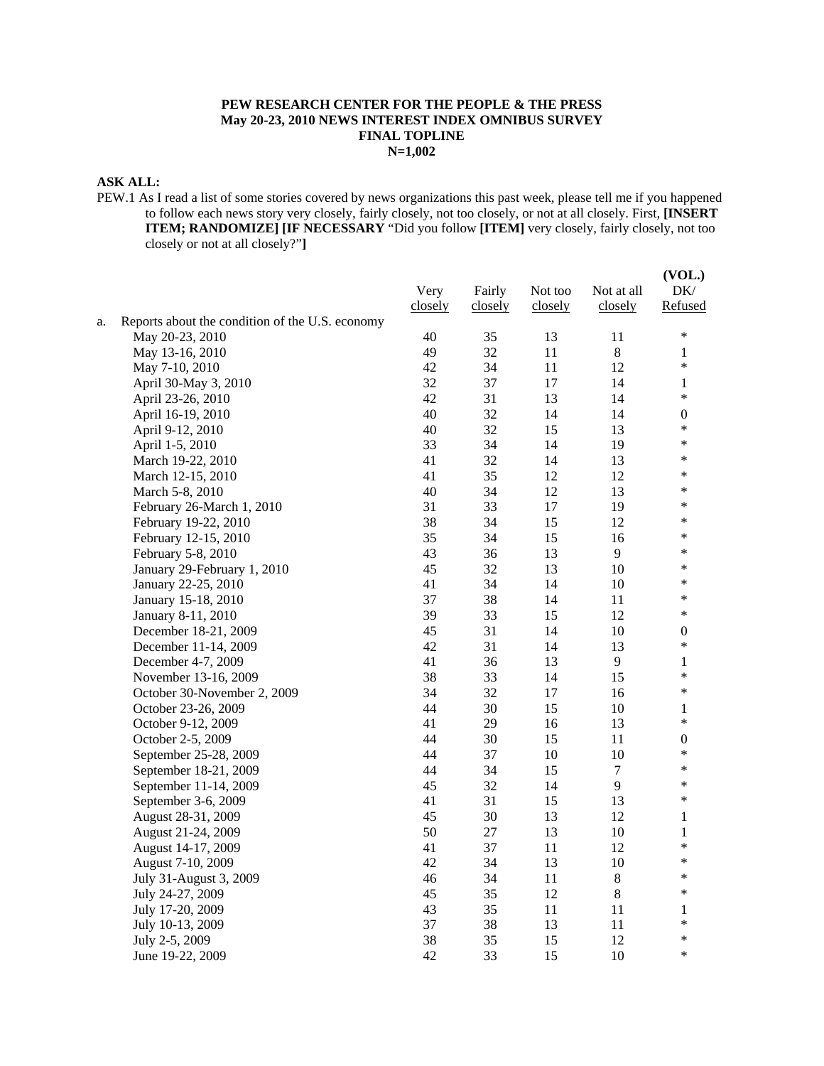### **PEW RESEARCH CENTER FOR THE PEOPLE & THE PRESS May 20-23, 2010 NEWS INTEREST INDEX OMNIBUS SURVEY FINAL TOPLINE N=1,002**

## **ASK ALL:**

PEW.1 As I read a list of some stories covered by news organizations this past week, please tell me if you happened to follow each news story very closely, fairly closely, not too closely, or not at all closely. First, **[INSERT ITEM; RANDOMIZE] [IF NECESSARY** "Did you follow **[ITEM]** very closely, fairly closely, not too closely or not at all closely?"**]**

|    |                                                 | Very<br>closely | Fairly<br>closely | Not too<br>closely | Not at all<br>closely | (VOL.)<br>DK/<br>Refused   |
|----|-------------------------------------------------|-----------------|-------------------|--------------------|-----------------------|----------------------------|
| a. | Reports about the condition of the U.S. economy |                 |                   |                    |                       | $\ast$                     |
|    | May 20-23, 2010                                 | 40              | 35                | 13                 | 11                    |                            |
|    | May 13-16, 2010                                 | 49              | 32                | 11                 | $\,8\,$               | 1<br>$\ast$                |
|    | May 7-10, 2010                                  | 42              | 34                | 11                 | 12                    |                            |
|    | April 30-May 3, 2010                            | 32              | 37                | 17                 | 14                    | $\mathbf{1}$<br>$\ast$     |
|    | April 23-26, 2010                               | 42              | 31                | 13                 | 14                    |                            |
|    | April 16-19, 2010                               | 40              | 32                | 14                 | 14                    | $\boldsymbol{0}$<br>$\ast$ |
|    | April 9-12, 2010                                | 40              | 32                | 15                 | 13                    | $\ast$                     |
|    | April 1-5, 2010                                 | 33              | 34                | 14                 | 19                    | $\ast$                     |
|    | March 19-22, 2010                               | 41              | 32                | 14                 | 13                    | *                          |
|    | March 12-15, 2010                               | 41              | 35                | 12                 | 12                    | $\ast$                     |
|    | March 5-8, 2010                                 | 40              | 34                | 12                 | 13                    | *                          |
|    | February 26-March 1, 2010                       | 31              | 33                | 17                 | 19                    | *                          |
|    | February 19-22, 2010                            | 38              | 34                | 15                 | 12                    | *                          |
|    | February 12-15, 2010                            | 35              | 34                | 15                 | 16                    | $\ast$                     |
|    | February 5-8, 2010                              | 43              | 36                | 13                 | 9                     | ∗                          |
|    | January 29-February 1, 2010                     | 45              | 32                | 13                 | $10\,$                | *                          |
|    | January 22-25, 2010                             | 41              | 34<br>38          | 14                 | 10                    | *                          |
|    | January 15-18, 2010                             | 37<br>39        | 33                | 14<br>15           | 11<br>12              | $\ast$                     |
|    | January 8-11, 2010                              |                 | 31                | 14                 |                       |                            |
|    | December 18-21, 2009                            | 45<br>42        | 31                | 14                 | 10<br>13              | 0<br>$\ast$                |
|    | December 11-14, 2009<br>December 4-7, 2009      | 41              | 36                | 13                 | 9                     | 1                          |
|    | November 13-16, 2009                            | 38              | 33                | 14                 | 15                    | $\ast$                     |
|    | October 30-November 2, 2009                     | 34              | 32                | 17                 | 16                    | $\ast$                     |
|    | October 23-26, 2009                             | 44              | 30                | 15                 | 10                    | 1                          |
|    | October 9-12, 2009                              | 41              | 29                | 16                 | 13                    | $\ast$                     |
|    | October 2-5, 2009                               | 44              | 30                | 15                 | 11                    | $\boldsymbol{0}$           |
|    | September 25-28, 2009                           | 44              | 37                | 10                 | 10                    | $\ast$                     |
|    | September 18-21, 2009                           | 44              | 34                | 15                 | 7                     | $\ast$                     |
|    | September 11-14, 2009                           | 45              | 32                | 14                 | 9                     | $\ast$                     |
|    | September 3-6, 2009                             | 41              | 31                | 15                 | 13                    | *                          |
|    | August 28-31, 2009                              | 45              | 30                | 13                 | 12                    | $\mathbf{1}$               |
|    | August 21-24, 2009                              | 50              | 27                | 13                 | 10                    | $\mathbf{1}$               |
|    | August 14-17, 2009                              | 41              | 37                | 11                 | 12                    | $\ast$                     |
|    | August 7-10, 2009                               | 42              | 34                | 13                 | 10                    | $\ast$                     |
|    | July 31-August 3, 2009                          | 46              | 34                | 11                 | $8\,$                 | $\ast$                     |
|    | July 24-27, 2009                                | 45              | 35                | 12                 | 8                     | $\ast$                     |
|    | July 17-20, 2009                                | 43              | 35                | 11                 | 11                    | 1                          |
|    | July 10-13, 2009                                | 37              | 38                | 13                 | 11                    | $\ast$                     |
|    | July 2-5, 2009                                  | 38              | 35                | 15                 | 12                    | $\ast$                     |
|    | June 19-22, 2009                                | 42              | 33                | 15                 | 10                    | $\ast$                     |
|    |                                                 |                 |                   |                    |                       |                            |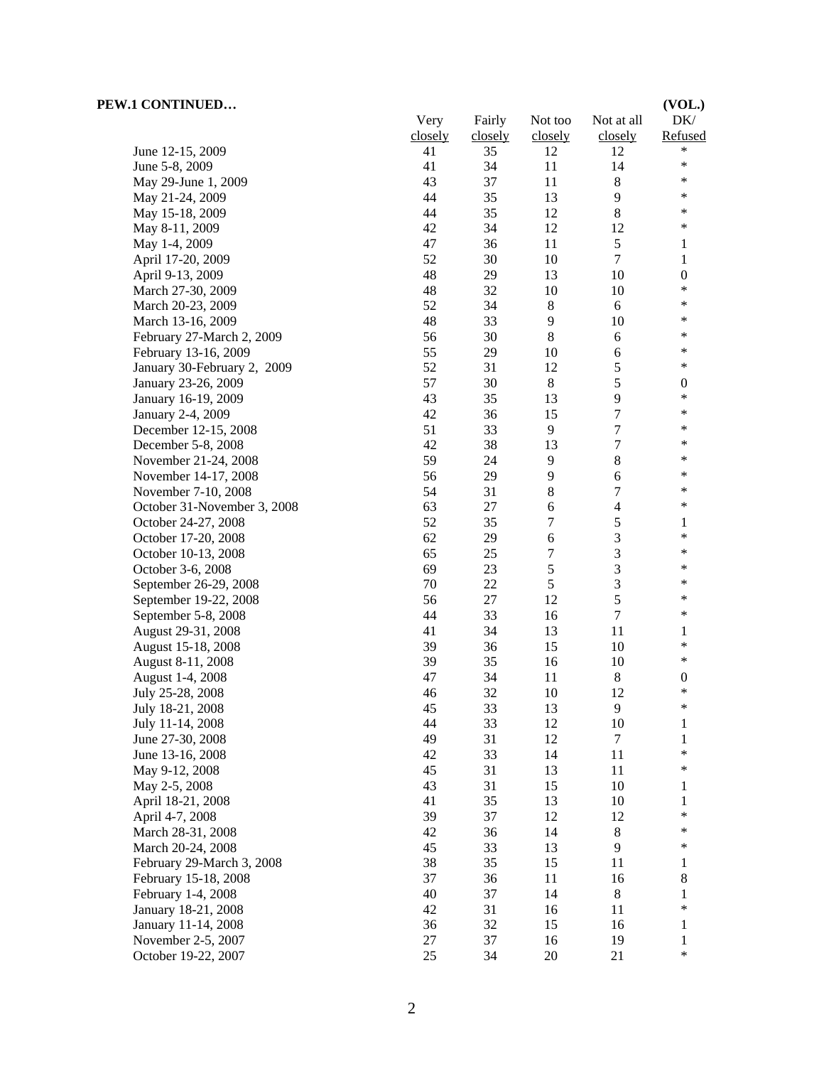| PEW.1 CONTINUED             |         |         |                  |                  | (VOL.)           |
|-----------------------------|---------|---------|------------------|------------------|------------------|
|                             | Very    | Fairly  | Not too          | Not at all       | DK/              |
|                             | closely | closely | closely          | closely          | Refused          |
| June 12-15, 2009            | 41      | 35      | 12               | 12               | $\ast$           |
| June 5-8, 2009              | 41      | 34      | 11               | 14               | $\ast$           |
| May 29-June 1, 2009         | 43      | 37      | 11               | 8                | *                |
| May 21-24, 2009             | 44      | 35      | 13               | $\overline{9}$   | *                |
| May 15-18, 2009             | 44      | 35      | 12               | $\,8\,$          | *                |
| May 8-11, 2009              | 42      | 34      | 12               | 12               | $\ast$           |
| May 1-4, 2009               | 47      | 36      | 11               | 5                | 1                |
| April 17-20, 2009           | 52      | 30      | $10\,$           | $\tau$           | 1                |
| April 9-13, 2009            | 48      | 29      | 13               | 10               | $\boldsymbol{0}$ |
| March 27-30, 2009           | 48      | 32      | 10               | 10               | $\ast$           |
| March 20-23, 2009           | 52      | 34      | $\,8\,$          | 6                | *                |
| March 13-16, 2009           | 48      | 33      | 9                | 10               | *                |
| February 27-March 2, 2009   | 56      | 30      | $\,8\,$          | $6\,$            | *                |
| February 13-16, 2009        | 55      | 29      | 10               | 6                | *                |
| January 30-February 2, 2009 | 52      | 31      | 12               | $\sqrt{5}$       | $\ast$           |
| January 23-26, 2009         | 57      | 30      | 8                | 5                | $\boldsymbol{0}$ |
| January 16-19, 2009         | 43      | 35      | 13               | 9                | *                |
| January 2-4, 2009           | 42      | 36      | 15               | $\boldsymbol{7}$ | *                |
| December 12-15, 2008        | 51      | 33      | 9                | $\tau$           | *                |
| December 5-8, 2008          | 42      | 38      | 13               | $\boldsymbol{7}$ | ∗                |
| November 21-24, 2008        | 59      | 24      | 9                | $\,8\,$          | *                |
| November 14-17, 2008        | 56      | 29      | $\overline{9}$   | 6                | *                |
| November 7-10, 2008         | 54      | 31      | 8                | $\tau$           | *                |
| October 31-November 3, 2008 | 63      | 27      | 6                | $\overline{4}$   | *                |
| October 24-27, 2008         | 52      | 35      | $\boldsymbol{7}$ | $\sqrt{5}$       | 1                |
| October 17-20, 2008         | 62      | 29      | 6                | $\mathfrak{Z}$   | *                |
| October 10-13, 2008         | 65      | 25      | 7                | 3                | *                |
| October 3-6, 2008           | 69      | 23      | $\sqrt{5}$       | $\mathfrak{Z}$   | *                |
| September 26-29, 2008       | 70      | 22      | 5                | 3                | *                |
| September 19-22, 2008       | 56      | 27      | 12               | 5                | *                |
| September 5-8, 2008         | 44      | 33      | 16               | $\tau$           | *                |
| August 29-31, 2008          | 41      | 34      | 13               | 11               | 1                |
| August 15-18, 2008          | 39      | 36      | 15               | 10               | $\ast$           |
| August 8-11, 2008           | 39      | 35      | 16               | 10               | $\ast$           |
| August 1-4, 2008            | 47      | 34      | 11               | $\,8\,$          | $\boldsymbol{0}$ |
| July 25-28, 2008            | $46\,$  | 32      | $10\,$           | 12               | $\ast$           |
| July 18-21, 2008            | 45      | 33      | 13               | 9                | ∗                |
| July 11-14, 2008            | 44      | 33      | 12               | 10               | 1                |
| June 27-30, 2008            | 49      | 31      | 12               | 7                | 1                |
| June 13-16, 2008            | 42      | 33      | 14               | 11               | *                |
| May 9-12, 2008              | 45      | 31      | 13               | 11               | *                |
| May 2-5, 2008               | 43      | 31      | 15               | 10               | 1                |
| April 18-21, 2008           | 41      | 35      | 13               | 10               | 1                |
| April 4-7, 2008             | 39      | 37      | 12               | 12               | *                |
| March 28-31, 2008           | 42      | 36      | 14               | $\,8$            | *                |
| March 20-24, 2008           | 45      | 33      | 13               | 9                | ∗                |
| February 29-March 3, 2008   | 38      | 35      | 15               | 11               | 1                |
| February 15-18, 2008        | 37      | 36      | 11               | 16               | 8                |
| February 1-4, 2008          | 40      | 37      | 14               | $\,8$            | 1                |
| January 18-21, 2008         | 42      | 31      | 16               | 11               | *                |
| January 11-14, 2008         | 36      | 32      | 15               | 16               | 1                |
| November 2-5, 2007          | $27\,$  | 37      | 16               | 19               | 1                |
| October 19-22, 2007         | 25      | 34      | $20\,$           | 21               | *                |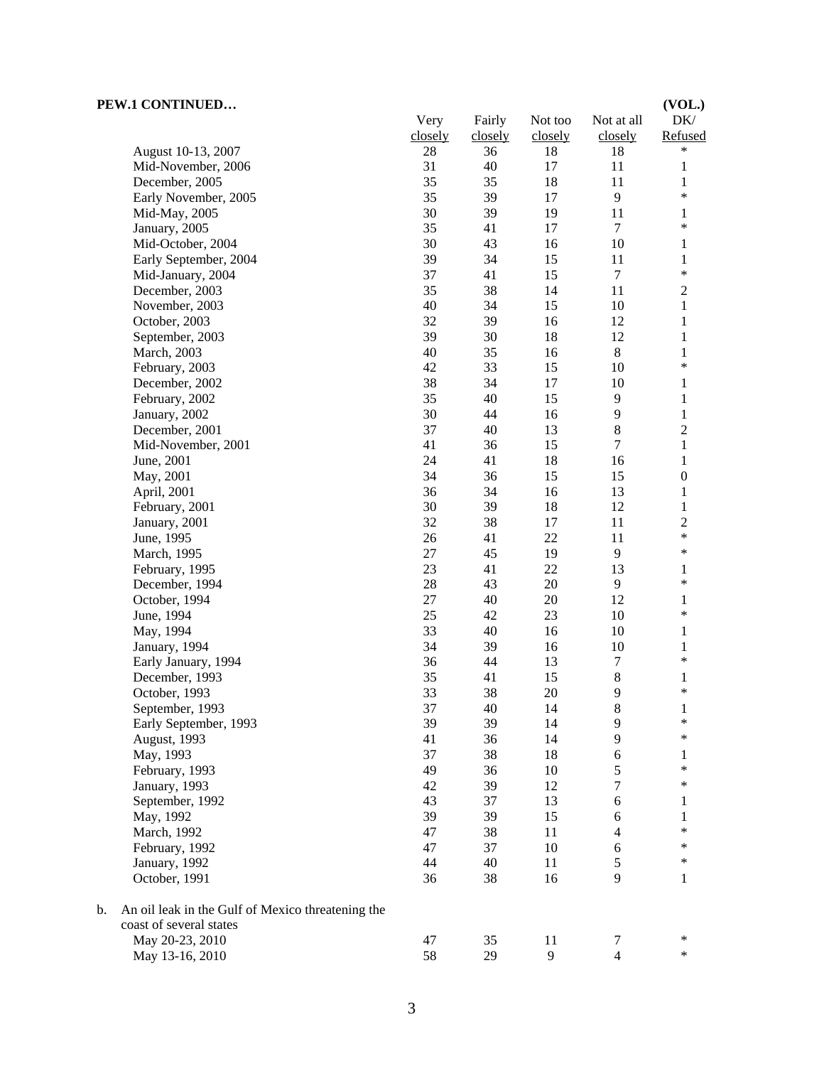| PEW.1 CONTINUED                                                     | Very    | Fairly  | Not too | Not at all       | (VOL.)<br>DK/    |
|---------------------------------------------------------------------|---------|---------|---------|------------------|------------------|
|                                                                     | closely | closely | closely | closely          | Refused          |
| August 10-13, 2007                                                  | $28\,$  | 36      | 18      | 18               | $\ast$           |
| Mid-November, 2006                                                  | 31      | 40      | 17      | 11               | $\mathbf{1}$     |
| December, 2005                                                      | 35      | 35      | 18      | 11               | $\mathbf{1}$     |
| Early November, 2005                                                | 35      | 39      | 17      | 9                | $\ast$           |
| Mid-May, 2005                                                       | 30      | 39      | 19      | $11\,$           | $\mathbf{1}$     |
| January, 2005                                                       | 35      | 41      | 17      | $\tau$           | $\ast$           |
| Mid-October, 2004                                                   | 30      | 43      | 16      | 10               | $\mathbf{1}$     |
| Early September, 2004                                               | 39      | 34      | 15      | 11               | $\mathbf{1}$     |
| Mid-January, 2004                                                   | 37      | 41      | 15      | $\boldsymbol{7}$ | $\ast$           |
| December, 2003                                                      | 35      | 38      | 14      | 11               | $\mathbf{2}$     |
| November, 2003                                                      | 40      | 34      | 15      | 10               | $\mathbf{1}$     |
| October, 2003                                                       | 32      | 39      | 16      | 12               | $\mathbf{1}$     |
| September, 2003                                                     | 39      | 30      | 18      | 12               | $\mathbf{1}$     |
| March, 2003                                                         | 40      | 35      | 16      | $8\,$            | $\mathbf{1}$     |
| February, 2003                                                      | 42      | 33      | 15      | 10               | $\ast$           |
| December, 2002                                                      | 38      | 34      | 17      | 10               | $\mathbf{1}$     |
| February, 2002                                                      | 35      | 40      | 15      | 9                | $\,1$            |
| January, 2002                                                       | 30      | 44      | 16      | 9                | $\,1$            |
| December, 2001                                                      | 37      | 40      | 13      | 8                | $\overline{c}$   |
| Mid-November, 2001                                                  | 41      | 36      | 15      | 7                | $\mathbf{1}$     |
| June, 2001                                                          | 24      | 41      | 18      | 16               | 1                |
| May, 2001                                                           | 34      | 36      | 15      | 15               | $\boldsymbol{0}$ |
| April, 2001                                                         | 36      | 34      | 16      | 13               | $\mathbf{1}$     |
| February, 2001                                                      | 30      | 39      | 18      | 12               | $\,1$            |
| January, 2001                                                       | 32      | 38      | 17      | 11               | $\sqrt{2}$       |
| June, 1995                                                          | 26      | 41      | 22      | 11               | $\ast$           |
| March, 1995                                                         | $27\,$  | 45      | 19      | $\mathbf{9}$     | $\ast$           |
| February, 1995                                                      | 23      | 41      | 22      | 13               | $\mathbf{1}$     |
| December, 1994                                                      | 28      | 43      | 20      | $\overline{9}$   | $\ast$           |
| October, 1994                                                       | 27      | 40      | $20\,$  | 12               | $\mathbf{1}$     |
| June, 1994                                                          | 25      | 42      | 23      | 10               | $\ast$           |
| May, 1994                                                           | 33      | 40      | 16      | 10               | 1                |
| January, 1994                                                       | 34      | 39      | 16      | 10               | 1                |
| Early January, 1994                                                 | 36      | 44      | 13      | 7                | $\ast$           |
| December, 1993                                                      | 35      | 41      | 15      | $\,8\,$          | 1                |
| October, 1993                                                       | 33      | 38      | 20      | 9                | $\ast$           |
| September, 1993                                                     | 37      | 40      | 14      | $8\,$            | $\mathbf{1}$     |
| Early September, 1993                                               | 39      | 39      | 14      | 9                | $\ast$           |
| August, 1993                                                        | 41      | 36      | 14      | 9                | $\ast$           |
| May, 1993                                                           | 37      | 38      | 18      | 6                | 1                |
| February, 1993                                                      | 49      | 36      | 10      | 5                | $\ast$           |
| January, 1993                                                       | 42      | 39      | 12      | 7                | $\ast$           |
| September, 1992                                                     | 43      | 37      | 13      | 6                | 1                |
| May, 1992                                                           | 39      | 39      | 15      | 6                | 1                |
| March, 1992                                                         | 47      | 38      | 11      | 4                | $\ast$           |
| February, 1992                                                      | 47      | 37      | 10      | 6                | $\ast$           |
| January, 1992                                                       | 44      | 40      | 11      | 5                | $\ast$           |
| October, 1991                                                       | 36      | 38      | 16      | 9                | 1                |
| An oil leak in the Gulf of Mexico threatening the<br>$\mathbf{b}$ . |         |         |         |                  |                  |
| coast of several states                                             |         |         |         |                  |                  |
| May 20-23, 2010                                                     | 47      | 35      | 11      | $\tau$           | $\ast$           |
| May 13-16, 2010                                                     | 58      | 29      | 9       | $\overline{4}$   | $\ast$           |
|                                                                     |         |         |         |                  |                  |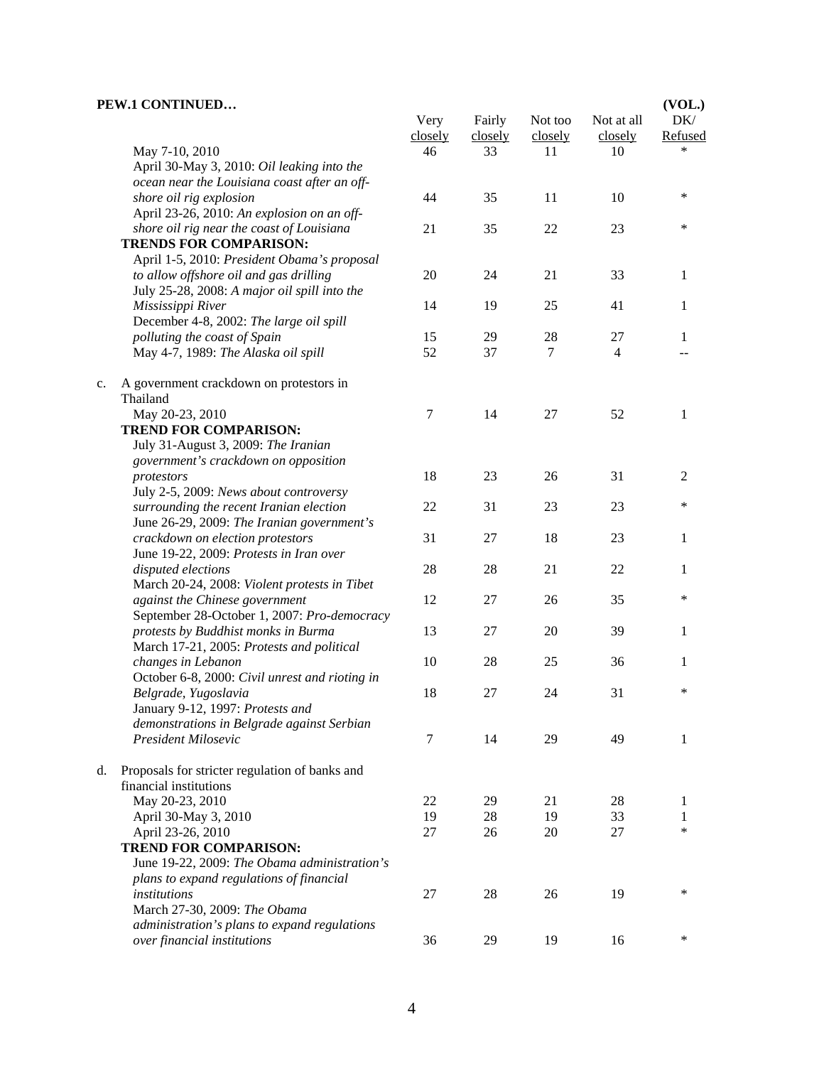|    | PEW.1 CONTINUED                                                              | Very    | Fairly  | Not too | Not at all | (VOL.)<br>DK/  |
|----|------------------------------------------------------------------------------|---------|---------|---------|------------|----------------|
|    |                                                                              | closely | closely | closely | closely    | Refused        |
|    | May 7-10, 2010                                                               | 46      | 33      | 11      | 10         |                |
|    | April 30-May 3, 2010: Oil leaking into the                                   |         |         |         |            |                |
|    | ocean near the Louisiana coast after an off-                                 |         |         |         |            |                |
|    | shore oil rig explosion                                                      | 44      | 35      | 11      | 10         | $\ast$         |
|    | April 23-26, 2010: An explosion on an off-                                   |         |         |         |            |                |
|    | shore oil rig near the coast of Louisiana                                    | 21      | 35      | 22      | 23         | $\ast$         |
|    | <b>TRENDS FOR COMPARISON:</b>                                                |         |         |         |            |                |
|    | April 1-5, 2010: President Obama's proposal                                  |         |         |         |            |                |
|    | to allow offshore oil and gas drilling                                       | 20      | 24      | 21      | 33         | $\mathbf{1}$   |
|    | July 25-28, 2008: A major oil spill into the                                 |         |         |         |            |                |
|    | Mississippi River                                                            | 14      | 19      | 25      | 41         | 1              |
|    | December 4-8, 2002: The large oil spill                                      |         |         |         |            |                |
|    | polluting the coast of Spain                                                 | 15      | 29      | 28      | 27         | 1              |
|    | May 4-7, 1989: The Alaska oil spill                                          | 52      | 37      | $\tau$  | 4          |                |
| c. | A government crackdown on protestors in<br>Thailand                          |         |         |         |            |                |
|    | May 20-23, 2010                                                              | 7       | 14      | 27      | 52         | 1              |
|    | <b>TREND FOR COMPARISON:</b>                                                 |         |         |         |            |                |
|    | July 31-August 3, 2009: The Iranian                                          |         |         |         |            |                |
|    | government's crackdown on opposition                                         |         |         |         |            |                |
|    | protestors                                                                   | 18      | 23      | 26      | 31         | $\overline{c}$ |
|    | July 2-5, 2009: News about controversy                                       |         |         |         |            |                |
|    | surrounding the recent Iranian election                                      | 22      | 31      | 23      | 23         | $\ast$         |
|    | June 26-29, 2009: The Iranian government's                                   |         |         |         |            |                |
|    | crackdown on election protestors                                             | 31      | $27\,$  | 18      | 23         | 1              |
|    | June 19-22, 2009: Protests in Iran over                                      |         |         |         |            |                |
|    | disputed elections                                                           | 28      | 28      | 21      | 22         | 1              |
|    | March 20-24, 2008: Violent protests in Tibet                                 |         |         |         |            |                |
|    | against the Chinese government                                               | 12      | 27      | 26      | 35         | $\ast$         |
|    | September 28-October 1, 2007: Pro-democracy                                  |         |         |         |            |                |
|    | protests by Buddhist monks in Burma                                          | 13      | 27      | 20      | 39         | 1              |
|    | March 17-21, 2005: Protests and political                                    |         |         |         |            |                |
|    | changes in Lebanon                                                           | 10      | 28      | 25      | 36         | 1              |
|    | October 6-8, 2000: Civil unrest and rioting in                               |         |         |         |            |                |
|    | Belgrade, Yugoslavia                                                         | 18      | 27      | 24      | 31         | $\ast$         |
|    | January 9-12, 1997: Protests and                                             |         |         |         |            |                |
|    | demonstrations in Belgrade against Serbian                                   |         |         |         |            |                |
|    | President Milosevic                                                          | 7       | 14      | 29      | 49         | 1              |
| d. | Proposals for stricter regulation of banks and                               |         |         |         |            |                |
|    | financial institutions                                                       |         |         |         |            |                |
|    | May 20-23, 2010                                                              | 22      | 29      | 21      | 28         | 1              |
|    | April 30-May 3, 2010                                                         | 19      | 28      | 19      | 33         | 1<br>$\ast$    |
|    | April 23-26, 2010                                                            | 27      | 26      | 20      | 27         |                |
|    | <b>TREND FOR COMPARISON:</b>                                                 |         |         |         |            |                |
|    | June 19-22, 2009: The Obama administration's                                 |         |         |         |            |                |
|    | plans to expand regulations of financial                                     |         |         |         | 19         | *              |
|    | institutions                                                                 | 27      | 28      | 26      |            |                |
|    | March 27-30, 2009: The Obama<br>administration's plans to expand regulations |         |         |         |            |                |
|    | over financial institutions                                                  | 36      | 29      | 19      | 16         | $\ast$         |
|    |                                                                              |         |         |         |            |                |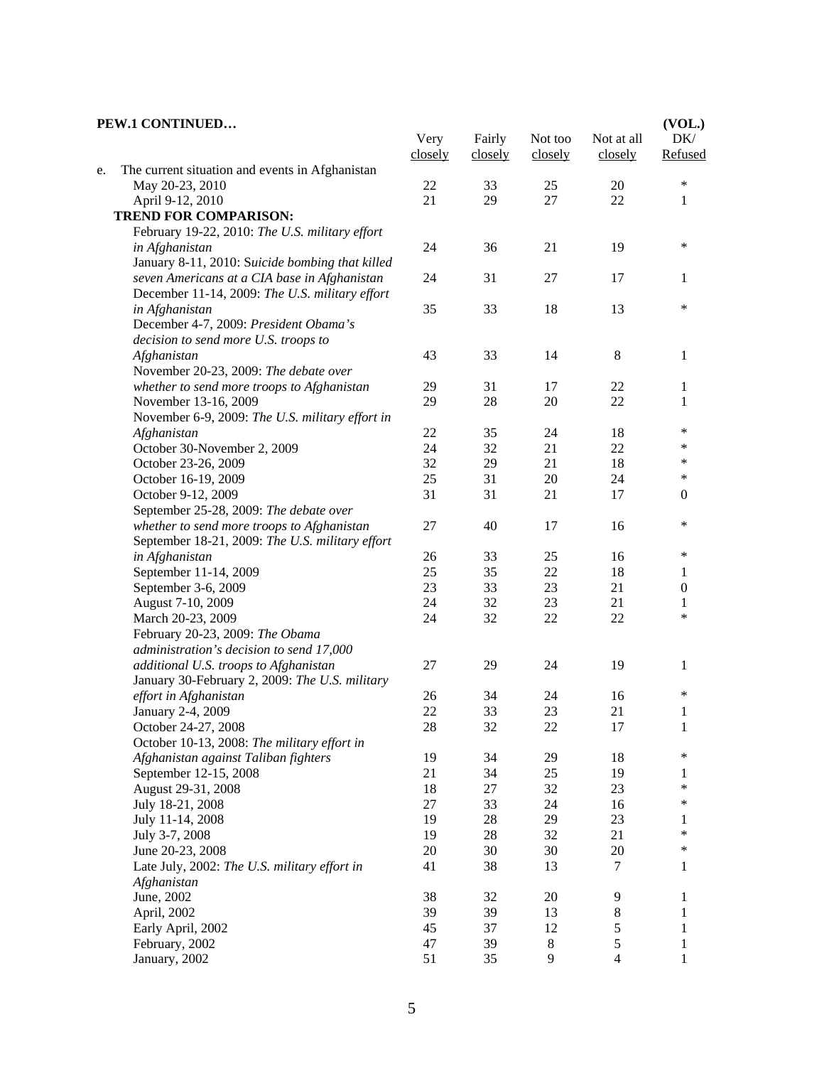#### **PEW.1 CONTINUED…** Very closely Fairly closely Not too closely Not at all closely **(VOL.)**  DK/ Refused e. The current situation and events in Afghanistan May 20-23, 2010 22 33 25 20 \* April 9-12, 2010 21 29 27 22 1  **TREND FOR COMPARISON:** February 19-22, 2010: *The U.S. military effort in Afghanistan* 24 36 21 19 \* January 8-11, 2010: S*uicide bombing that killed seven Americans at a CIA base in Afghanistan* 24 31 27 17 1 December 11-14, 2009: *The U.S. military effort in Afghanistan* 35 33 18 13 \* December 4-7, 2009: *President Obama's decision to send more U.S. troops to Afghanistan* 43 33 14 8 1 November 20-23, 2009: *The debate over whether to send more troops to Afghanistan* 29 31 17 22 1 November 13-16, 2009 29 28 20 22 1 November 6-9, 2009: *The U.S. military effort in Afghanistan* 22 35 24 18 \* October 30-November 2, 2009<br>
October 23-26, 2009<br>
24 32 21 22 \*<br>
29 21 18 \* October 23-26, 2009 32 29 21 18 \*<br>October 16 19 2009 25 31 20 24 \* October 16-19, 2009 25 25 31 20 24 October 9-12, 2009 31 31 21 17 0 September 25-28, 2009: *The debate over whether to send more troops to Afghanistan* 27 40 17 16 \* September 18-21, 2009: *The U.S. military effort in Afghanistan* 26 33 25 16 \* September 11-14, 2009 25 35 22 18 1 September 3-6, 2009 23 23 23 21 0 August 7-10, 2009 24 24 32 23 21 1 March 20-23, 2009 24 32 22 <sup>\*</sup> February 20-23, 2009: *The Obama administration's decision to send 17,000 additional U.S. troops to Afghanistan* 27 29 24 19 1 January 30-February 2, 2009: *The U.S. military effort in Afghanistan* 26 34 24 16 \* January 2-4, 2009 22 33 23 21 1 October 24-27, 2008 28 22 22 17 1 October 10-13, 2008: *The military effort in Afghanistan against Taliban fighters* 19 34 29 18 \* September 12-15, 2008 21 34 25 19 1 August 29-31, 2008 18 27 32 23 \* July 18-21, 2008 27 33 24 16 \* July 11-14, 2008 19 28 29 23 1 July 3-7, 2008 19 28 32 21 \* June 20-23, 2008 20 20 30 30 20  $\ast$ Late July, 2002: *The U.S. military effort in Afghanistan* 41 38 13 7 1 June, 2002 38 32 20 9 1 April, 2002 39 39 39 13 8 1 Early April, 2002 45 37 12 5 1 February, 2002 47 39 8 5 1 January, 2002 51 51 35 9 4 1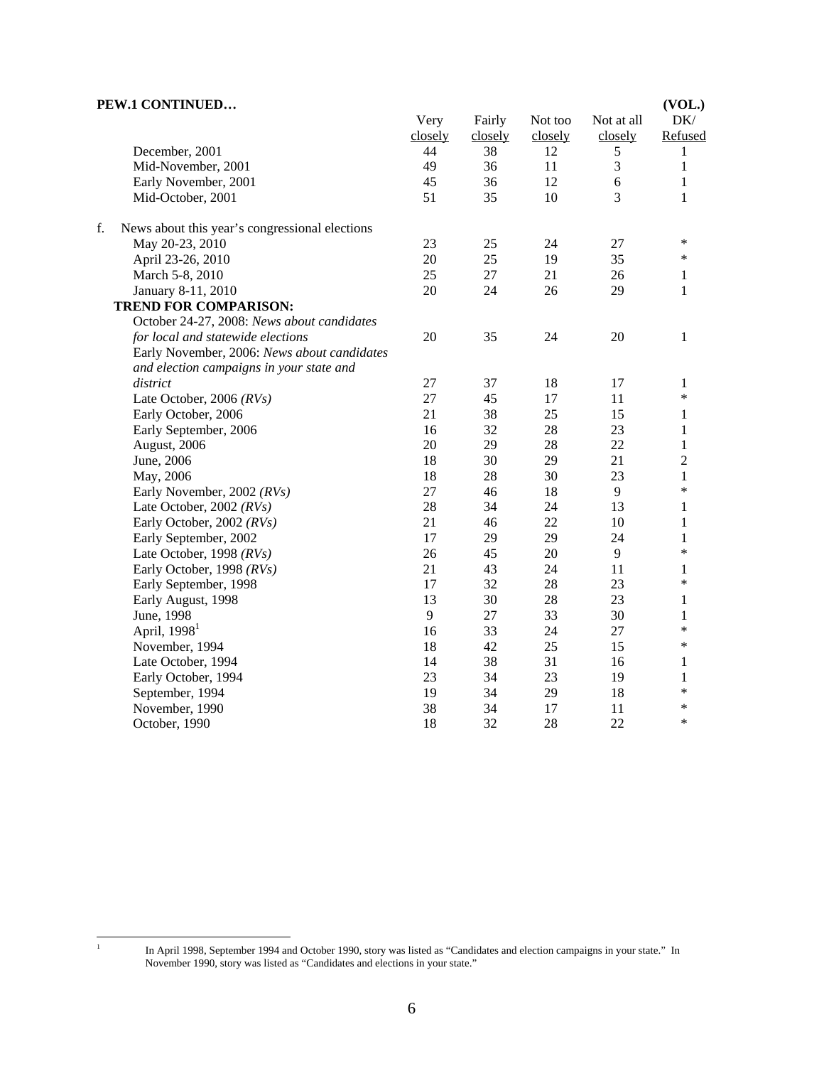| PEW.1 CONTINUED                                      |         |         |         |            | (VOL.)         |
|------------------------------------------------------|---------|---------|---------|------------|----------------|
|                                                      | Very    | Fairly  | Not too | Not at all | DK/            |
|                                                      | closely | closely | closely | closely    | Refused        |
| December, 2001                                       | 44      | 38      | 12      | 5          | 1              |
| Mid-November, 2001                                   | 49      | 36      | 11      | 3          | $\mathbf{1}$   |
| Early November, 2001                                 | 45      | 36      | 12      | $\sqrt{6}$ | $\mathbf{1}$   |
| Mid-October, 2001                                    | 51      | 35      | 10      | 3          | 1              |
| f.<br>News about this year's congressional elections |         |         |         |            |                |
| May 20-23, 2010                                      | 23      | 25      | 24      | 27         | $\ast$         |
| April 23-26, 2010                                    | 20      | 25      | 19      | 35         | $\ast$         |
| March 5-8, 2010                                      | 25      | 27      | 21      | 26         | 1              |
| January 8-11, 2010                                   | 20      | 24      | 26      | 29         | 1              |
| <b>TREND FOR COMPARISON:</b>                         |         |         |         |            |                |
| October 24-27, 2008: News about candidates           |         |         |         |            |                |
| for local and statewide elections                    | 20      | 35      | 24      | 20         | 1              |
| Early November, 2006: News about candidates          |         |         |         |            |                |
| and election campaigns in your state and             |         |         |         |            |                |
| district                                             | 27      | 37      | 18      | 17         | 1              |
| Late October, 2006 (RVs)                             | 27      | 45      | 17      | 11         | $\ast$         |
| Early October, 2006                                  | 21      | 38      | 25      | 15         | 1              |
| Early September, 2006                                | 16      | 32      | 28      | 23         | $\mathbf{1}$   |
| August, 2006                                         | 20      | 29      | 28      | 22         | $\mathbf{1}$   |
| June, 2006                                           | 18      | 30      | 29      | 21         | $\overline{2}$ |
| May, 2006                                            | 18      | 28      | 30      | 23         | $\mathbf{1}$   |
| Early November, 2002 (RVs)                           | 27      | 46      | 18      | 9          | $\ast$         |
| Late October, 2002 $(RVs)$                           | 28      | 34      | 24      | 13         | 1              |
| Early October, 2002 (RVs)                            | 21      | 46      | 22      | 10         | $\mathbf{1}$   |
| Early September, 2002                                | 17      | 29      | 29      | 24         | $\mathbf{1}$   |
| Late October, 1998 (RVs)                             | 26      | 45      | 20      | 9          | $\ast$         |
| Early October, 1998 (RVs)                            | 21      | 43      | 24      | 11         | 1              |
| Early September, 1998                                | 17      | 32      | 28      | 23         | *              |
| Early August, 1998                                   | 13      | 30      | 28      | 23         | 1              |
| June, 1998                                           | 9       | 27      | 33      | 30         | $\mathbf{1}$   |
| April, $19981$                                       | 16      | 33      | 24      | 27         | *              |
| November, 1994                                       | 18      | 42      | 25      | 15         | ∗              |
| Late October, 1994                                   | 14      | 38      | 31      | 16         | 1              |
| Early October, 1994                                  | 23      | 34      | 23      | 19         | 1              |
| September, 1994                                      | 19      | 34      | 29      | 18         | *              |
| November, 1990                                       | 38      | 34      | 17      | 11         | *              |
| October, 1990                                        | 18      | 32      | 28      | 22         | $\ast$         |

 $\frac{1}{1}$ 

In April 1998, September 1994 and October 1990, story was listed as "Candidates and election campaigns in your state." In November 1990, story was listed as "Candidates and elections in your state."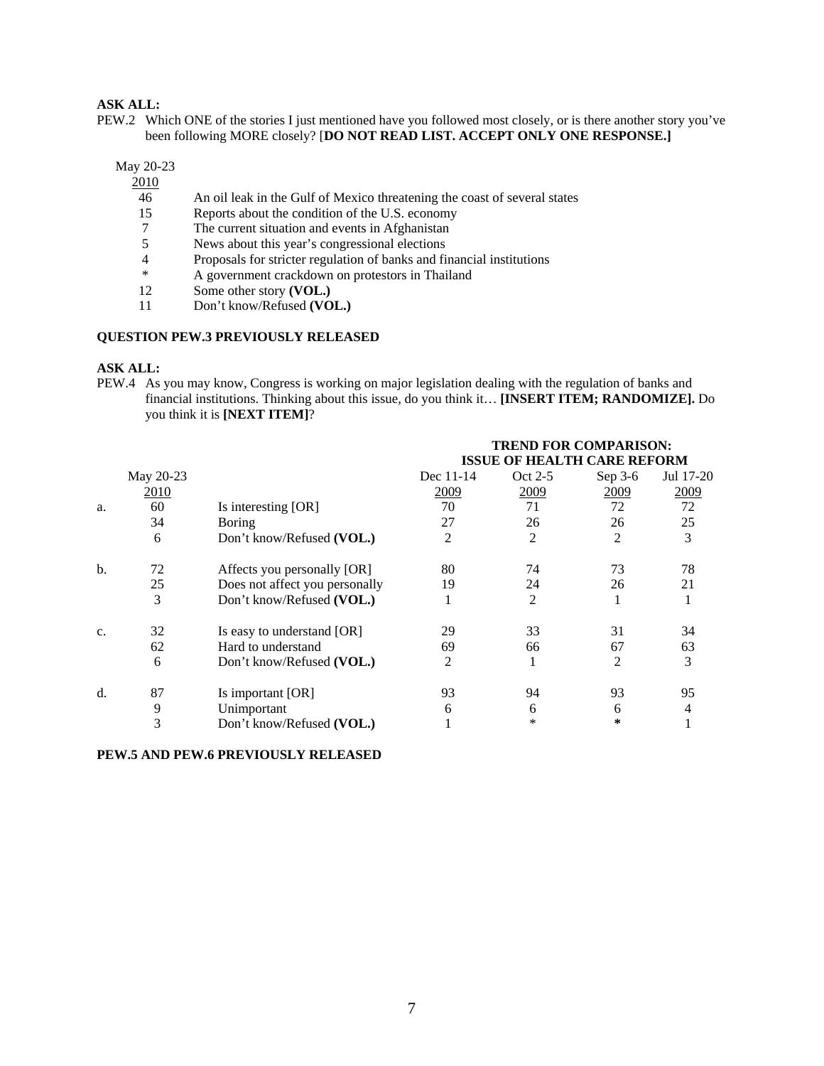## **ASK ALL:**

PEW.2 Which ONE of the stories I just mentioned have you followed most closely, or is there another story you've been following MORE closely? [**DO NOT READ LIST. ACCEPT ONLY ONE RESPONSE.]** 

May 20-23

2010

- 46 An oil leak in the Gulf of Mexico threatening the coast of several states
- 15 Reports about the condition of the U.S. economy
- 7 The current situation and events in Afghanistan 5 News about this year's congressional elections
- News about this year's congressional elections
- 4 Proposals for stricter regulation of banks and financial institutions<br>
<sup>\*</sup> A government crackdown on protestors in Thailand
- \* A government crackdown on protestors in Thailand<br>12 Some other story (VOL.)
- Some other story **(VOL.)**
- 11 Don't know/Refused **(VOL.)**

### **QUESTION PEW.3 PREVIOUSLY RELEASED**

#### **ASK ALL:**

PEW.4 As you may know, Congress is working on major legislation dealing with the regulation of banks and financial institutions. Thinking about this issue, do you think it… **[INSERT ITEM; RANDOMIZE].** Do you think it is **[NEXT ITEM]**?

|    |           |                                | <b>TREND FOR COMPARISON:</b><br><b>ISSUE OF HEALTH CARE REFORM</b> |         |         |           |  |
|----|-----------|--------------------------------|--------------------------------------------------------------------|---------|---------|-----------|--|
|    | May 20-23 |                                | Dec 11-14                                                          | Oct 2-5 | Sep 3-6 | Jul 17-20 |  |
|    | 2010      |                                | 2009                                                               | 2009    | 2009    | 2009      |  |
| a. | 60        | Is interesting [OR]            | 70                                                                 | 71      | 72      | 72        |  |
|    | 34        | <b>Boring</b>                  | 27                                                                 | 26      | 26      | 25        |  |
|    | 6         | Don't know/Refused (VOL.)      | 2                                                                  | 2       | 2       | 3         |  |
| b. | 72        | Affects you personally [OR]    | 80                                                                 | 74      | 73      | 78        |  |
|    | 25        | Does not affect you personally | 19                                                                 | 24      | 26      | 21        |  |
|    | 3         | Don't know/Refused (VOL.)      |                                                                    | 2       |         |           |  |
| c. | 32        | Is easy to understand [OR]     | 29                                                                 | 33      | 31      | 34        |  |
|    | 62        | Hard to understand             | 69                                                                 | 66      | 67      | 63        |  |
|    | 6         | Don't know/Refused (VOL.)      | 2                                                                  |         | 2       | 3         |  |
| d. | 87        | Is important [OR]              | 93                                                                 | 94      | 93      | 95        |  |
|    | 9         | Unimportant                    | 6                                                                  | 6       | 6       | 4         |  |
|    | 3         | Don't know/Refused (VOL.)      |                                                                    | $\ast$  | ∗       |           |  |

## **PEW.5 AND PEW.6 PREVIOUSLY RELEASED**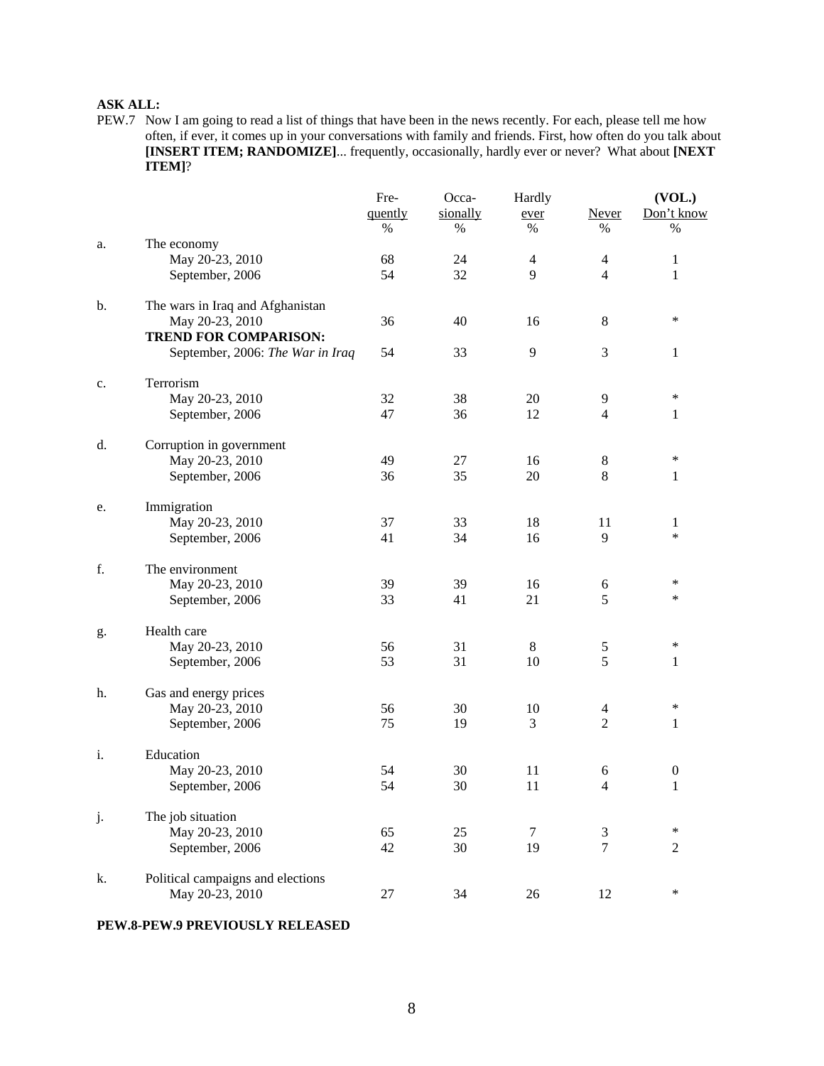## **ASK ALL:**

PEW.7 Now I am going to read a list of things that have been in the news recently. For each, please tell me how often, if ever, it comes up in your conversations with family and friends. First, how often do you talk about **[INSERT ITEM; RANDOMIZE]**... frequently, occasionally, hardly ever or never? What about **[NEXT ITEM]**?

|    |                                   | Fre-    | Occa-    | Hardly         |                | (VOL.)           |
|----|-----------------------------------|---------|----------|----------------|----------------|------------------|
|    |                                   | quently | sionally | ever           | Never          | Don't know       |
|    |                                   | %       | %        | $\%$           | %              | %                |
| a. | The economy                       |         |          |                |                |                  |
|    | May 20-23, 2010                   | 68      | 24       | $\overline{4}$ | $\overline{4}$ | $\mathbf{1}$     |
|    | September, 2006                   | 54      | 32       | 9              | $\overline{4}$ | 1                |
| b. | The wars in Iraq and Afghanistan  |         |          |                |                |                  |
|    | May 20-23, 2010                   | 36      | 40       | 16             | $\,8\,$        | $\ast$           |
|    | <b>TREND FOR COMPARISON:</b>      |         |          |                |                |                  |
|    | September, 2006: The War in Iraq  | 54      | 33       | 9              | 3              | $\mathbf{1}$     |
| c. | Terrorism                         |         |          |                |                |                  |
|    | May 20-23, 2010                   | 32      | 38       | 20             | 9              | $\ast$           |
|    | September, 2006                   | 47      | 36       | 12             | 4              | 1                |
| d. | Corruption in government          |         |          |                |                |                  |
|    | May 20-23, 2010                   | 49      | 27       | 16             | 8              | $\ast$           |
|    | September, 2006                   | 36      | 35       | 20             | 8              | 1                |
| e. | Immigration                       |         |          |                |                |                  |
|    | May 20-23, 2010                   | 37      | 33       | 18             | 11             | 1                |
|    | September, 2006                   | 41      | 34       | 16             | 9              | $\ast$           |
| f. | The environment                   |         |          |                |                |                  |
|    | May 20-23, 2010                   | 39      | 39       | 16             | 6              | $\ast$           |
|    | September, 2006                   | 33      | 41       | 21             | 5              | $\ast$           |
| g. | Health care                       |         |          |                |                |                  |
|    | May 20-23, 2010                   | 56      | 31       | $8\,$          | 5              | ∗                |
|    | September, 2006                   | 53      | 31       | 10             | 5              | 1                |
| h. | Gas and energy prices             |         |          |                |                |                  |
|    | May 20-23, 2010                   | 56      | 30       | 10             | $\overline{4}$ | $\ast$           |
|    | September, 2006                   | 75      | 19       | 3              | $\overline{2}$ | 1                |
| i. | Education                         |         |          |                |                |                  |
|    | May 20-23, 2010                   | 54      | 30       | 11             | 6              | $\boldsymbol{0}$ |
|    | September, 2006                   | 54      | 30       | 11             | 4              | $\mathbf{1}$     |
| j. | The job situation                 |         |          |                |                |                  |
|    | May 20-23, 2010                   | 65      | 25       | 7              | 3              | ∗                |
|    | September, 2006                   | 42      | 30       | 19             | $\overline{7}$ | $\overline{2}$   |
| k. | Political campaigns and elections |         |          |                |                |                  |
|    | May 20-23, 2010                   | $27\,$  | 34       | 26             | 12             | $\ast$           |

## **PEW.8-PEW.9 PREVIOUSLY RELEASED**